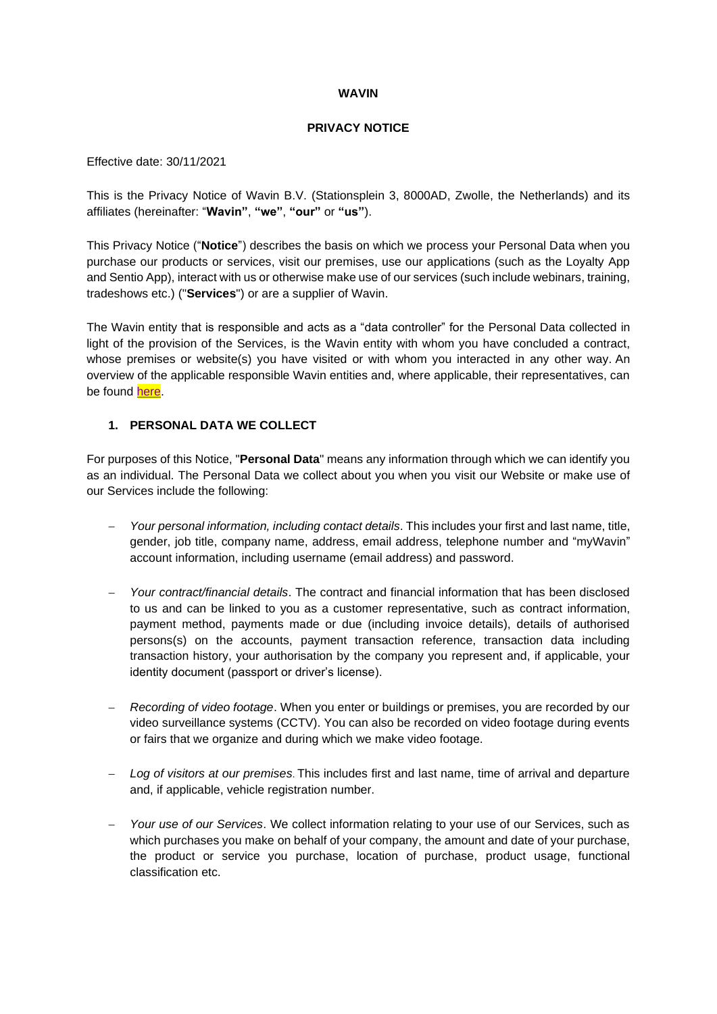#### **WAVIN**

### **PRIVACY NOTICE**

Effective date: 30/11/2021

This is the Privacy Notice of Wavin B.V. (Stationsplein 3, 8000AD, Zwolle, the Netherlands) and its affiliates (hereinafter: "**Wavin"**, **"we"**, **"our"** or **"us"**).

This Privacy Notice ("**Notice**") describes the basis on which we process your Personal Data when you purchase our products or services, visit our premises, use our applications (such as the Loyalty App and Sentio App), interact with us or otherwise make use of our services (such include webinars, training, tradeshows etc.) ("**Services**") or are a supplier of Wavin.

The Wavin entity that is responsible and acts as a "data controller" for the Personal Data collected in light of the provision of the Services, is the Wavin entity with whom you have concluded a contract, whose premises or website(s) you have visited or with whom you interacted in any other way. An overview of the applicable responsible Wavin entities and, where applicable, their representatives, can be found [here.](https://www.wavin.com/en-en/Privacy-annex)

### **1. PERSONAL DATA WE COLLECT**

For purposes of this Notice, "**Personal Data**" means any information through which we can identify you as an individual. The Personal Data we collect about you when you visit our Website or make use of our Services include the following:

- − *Your personal information, including contact details*. This includes your first and last name, title, gender, job title, company name, address, email address, telephone number and "myWavin" account information, including username (email address) and password.
- − *Your contract/financial details*. The contract and financial information that has been disclosed to us and can be linked to you as a customer representative, such as contract information, payment method, payments made or due (including invoice details), details of authorised persons(s) on the accounts, payment transaction reference, transaction data including transaction history, your authorisation by the company you represent and, if applicable, your identity document (passport or driver's license).
- − *Recording of video footage*. When you enter or buildings or premises, you are recorded by our video surveillance systems (CCTV). You can also be recorded on video footage during events or fairs that we organize and during which we make video footage.
- − *Log of visitors at our premises*. This includes first and last name, time of arrival and departure and, if applicable, vehicle registration number.
- − *Your use of our Services*. We collect information relating to your use of our Services, such as which purchases you make on behalf of your company, the amount and date of your purchase, the product or service you purchase, location of purchase, product usage, functional classification etc.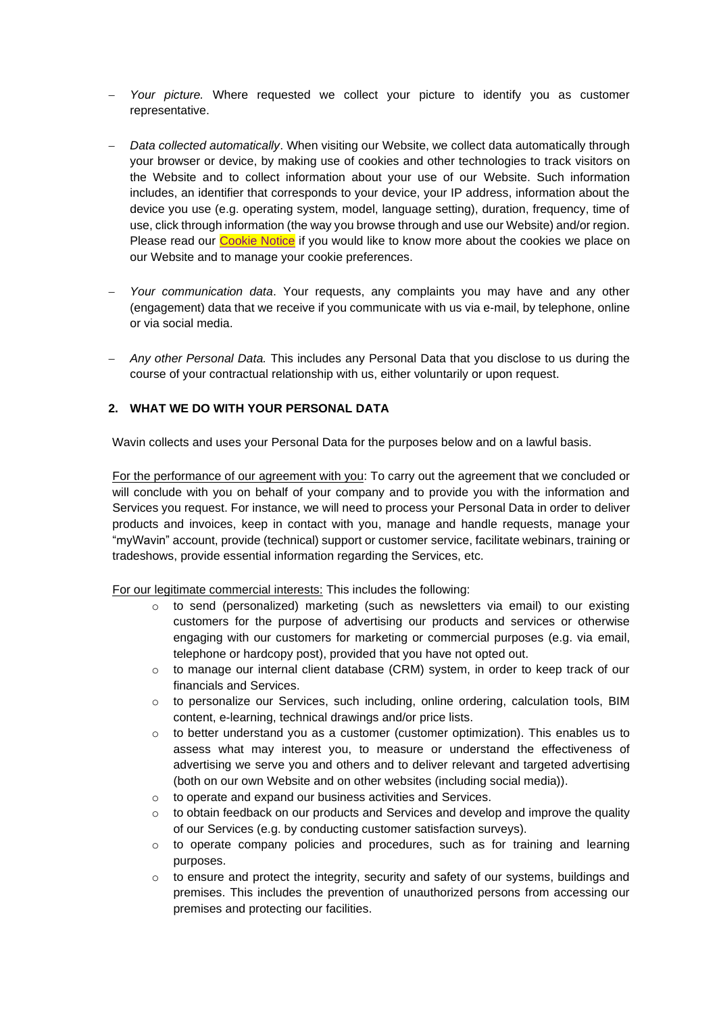- Your picture. Where requested we collect your picture to identify you as customer representative.
- − *Data collected automatically*. When visiting our Website, we collect data automatically through your browser or device, by making use of cookies and other technologies to track visitors on the Website and to collect information about your use of our Website. Such information includes, an identifier that corresponds to your device, your IP address, information about the device you use (e.g. operating system, model, language setting), duration, frequency, time of use, click through information (the way you browse through and use our Website) and/or region. Please read our [Cookie Notice](https://www.wavin.com/en-gb/Privacy-and-cookie-statement/Cookielist-table) if you would like to know more about the cookies we place on our Website and to manage your cookie preferences.
- Your communication data. Your requests, any complaints you may have and any other (engagement) data that we receive if you communicate with us via e-mail, by telephone, online or via social media.
- − *Any other Personal Data.* This includes any Personal Data that you disclose to us during the course of your contractual relationship with us, either voluntarily or upon request.

### **2. WHAT WE DO WITH YOUR PERSONAL DATA**

Wavin collects and uses your Personal Data for the purposes below and on a lawful basis.

For the performance of our agreement with you: To carry out the agreement that we concluded or will conclude with you on behalf of your company and to provide you with the information and Services you request. For instance, we will need to process your Personal Data in order to deliver products and invoices, keep in contact with you, manage and handle requests, manage your "myWavin" account, provide (technical) support or customer service, facilitate webinars, training or tradeshows, provide essential information regarding the Services, etc.

For our legitimate commercial interests: This includes the following:

- $\circ$  to send (personalized) marketing (such as newsletters via email) to our existing customers for the purpose of advertising our products and services or otherwise engaging with our customers for marketing or commercial purposes (e.g. via email, telephone or hardcopy post), provided that you have not opted out.
- $\circ$  to manage our internal client database (CRM) system, in order to keep track of our financials and Services.
- $\circ$  to personalize our Services, such including, online ordering, calculation tools, BIM content, e-learning, technical drawings and/or price lists.
- $\circ$  to better understand you as a customer (customer optimization). This enables us to assess what may interest you, to measure or understand the effectiveness of advertising we serve you and others and to deliver relevant and targeted advertising (both on our own Website and on other websites (including social media)).
- to operate and expand our business activities and Services.
- $\circ$  to obtain feedback on our products and Services and develop and improve the quality of our Services (e.g. by conducting customer satisfaction surveys).
- $\circ$  to operate company policies and procedures, such as for training and learning purposes.
- $\circ$  to ensure and protect the integrity, security and safety of our systems, buildings and premises. This includes the prevention of unauthorized persons from accessing our premises and protecting our facilities.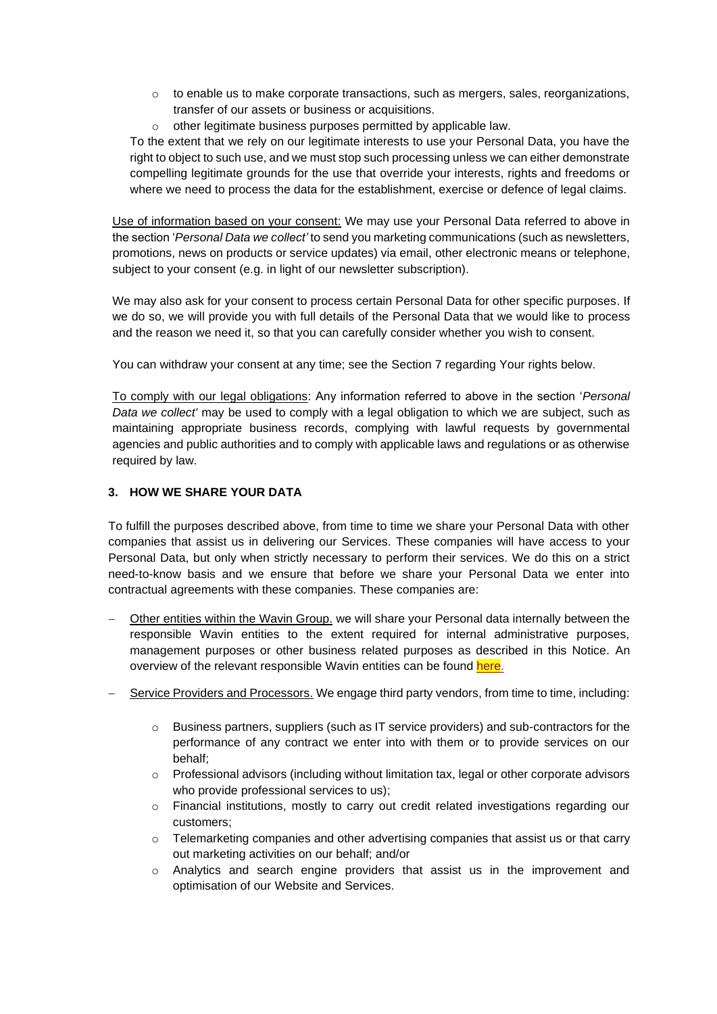- $\circ$  to enable us to make corporate transactions, such as mergers, sales, reorganizations, transfer of our assets or business or acquisitions.
- o other legitimate business purposes permitted by applicable law.

To the extent that we rely on our legitimate interests to use your Personal Data, you have the right to object to such use, and we must stop such processing unless we can either demonstrate compelling legitimate grounds for the use that override your interests, rights and freedoms or where we need to process the data for the establishment, exercise or defence of legal claims.

Use of information based on your consent: We may use your Personal Data referred to above in the section '*Personal Data we collect'* to send you marketing communications (such as newsletters, promotions, news on products or service updates) via email, other electronic means or telephone, subject to your consent (e.g. in light of our newsletter subscription).

We may also ask for your consent to process certain Personal Data for other specific purposes. If we do so, we will provide you with full details of the Personal Data that we would like to process and the reason we need it, so that you can carefully consider whether you wish to consent.

You can withdraw your consent at any time; see the Section [7](#page-4-0) regarding Your rights below.

To comply with our legal obligations: Any information referred to above in the section '*Personal Data we collect'* may be used to comply with a legal obligation to which we are subject, such as maintaining appropriate business records, complying with lawful requests by governmental agencies and public authorities and to comply with applicable laws and regulations or as otherwise required by law.

### <span id="page-2-0"></span>**3. HOW WE SHARE YOUR DATA**

To fulfill the purposes described above, from time to time we share your Personal Data with other companies that assist us in delivering our Services. These companies will have access to your Personal Data, but only when strictly necessary to perform their services. We do this on a strict need-to-know basis and we ensure that before we share your Personal Data we enter into contractual agreements with these companies. These companies are:

- Other entities within the Wavin Group. we will share your Personal data internally between the responsible Wavin entities to the extent required for internal administrative purposes, management purposes or other business related purposes as described in this Notice. An overview of the relevant responsible Wavin entities can be found here.
- − Service Providers and Processors. We engage third party vendors, from time to time, including:
	- $\circ$  Business partners, suppliers (such as IT service providers) and sub-contractors for the performance of any contract we enter into with them or to provide services on our behalf;
	- $\circ$  Professional advisors (including without limitation tax, legal or other corporate advisors who provide professional services to us);
	- o Financial institutions, mostly to carry out credit related investigations regarding our customers;
	- $\circ$  Telemarketing companies and other advertising companies that assist us or that carry out marketing activities on our behalf; and/or
	- $\circ$  Analytics and search engine providers that assist us in the improvement and optimisation of our Website and Services.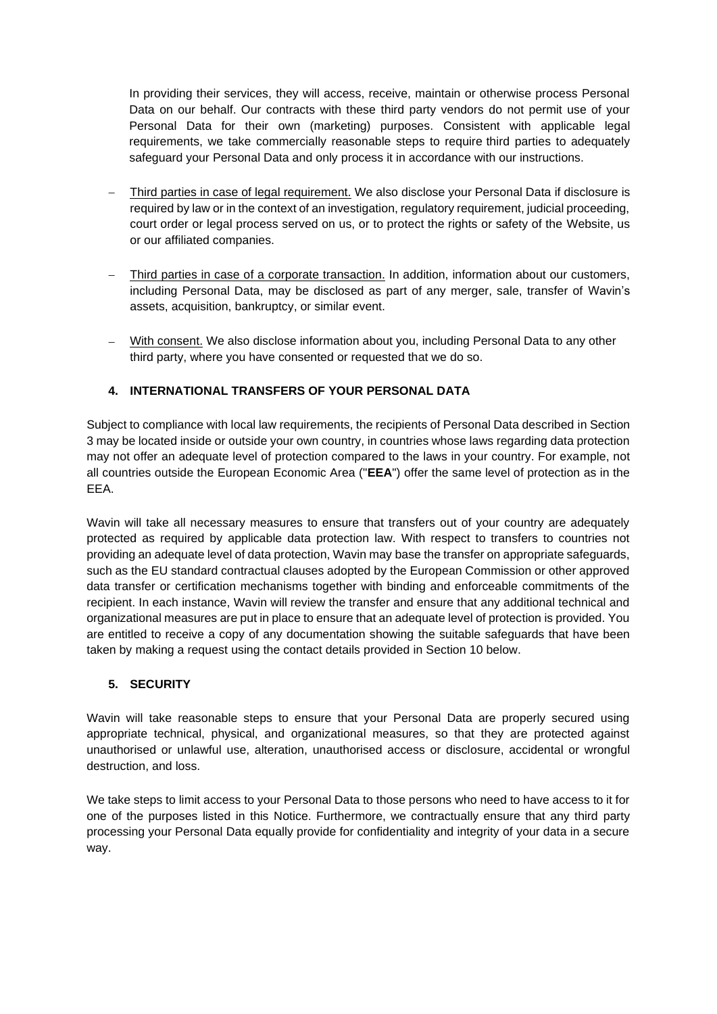In providing their services, they will access, receive, maintain or otherwise process Personal Data on our behalf. Our contracts with these third party vendors do not permit use of your Personal Data for their own (marketing) purposes. Consistent with applicable legal requirements, we take commercially reasonable steps to require third parties to adequately safeguard your Personal Data and only process it in accordance with our instructions.

- − Third parties in case of legal requirement. We also disclose your Personal Data if disclosure is required by law or in the context of an investigation, regulatory requirement, judicial proceeding, court order or legal process served on us, or to protect the rights or safety of the Website, us or our affiliated companies.
- Third parties in case of a corporate transaction. In addition, information about our customers, including Personal Data, may be disclosed as part of any merger, sale, transfer of Wavin's assets, acquisition, bankruptcy, or similar event.
- With consent. We also disclose information about you, including Personal Data to any other third party, where you have consented or requested that we do so.

# **4. INTERNATIONAL TRANSFERS OF YOUR PERSONAL DATA**

Subject to compliance with local law requirements, the recipients of Personal Data described in Section [3](#page-2-0) may be located inside or outside your own country, in countries whose laws regarding data protection may not offer an adequate level of protection compared to the laws in your country. For example, not all countries outside the European Economic Area ("**EEA**") offer the same level of protection as in the EEA.

Wavin will take all necessary measures to ensure that transfers out of your country are adequately protected as required by applicable data protection law. With respect to transfers to countries not providing an adequate level of data protection, Wavin may base the transfer on appropriate safeguards, such as the EU standard contractual clauses adopted by the European Commission or other approved data transfer or certification mechanisms together with binding and enforceable commitments of the recipient. In each instance, Wavin will review the transfer and ensure that any additional technical and organizational measures are put in place to ensure that an adequate level of protection is provided. You are entitled to receive a copy of any documentation showing the suitable safeguards that have been taken by making a request using the contact details provided in Section [10](#page-6-0) below.

# **5. SECURITY**

Wavin will take reasonable steps to ensure that your Personal Data are properly secured using appropriate technical, physical, and organizational measures, so that they are protected against unauthorised or unlawful use, alteration, unauthorised access or disclosure, accidental or wrongful destruction, and loss.

We take steps to limit access to your Personal Data to those persons who need to have access to it for one of the purposes listed in this Notice. Furthermore, we contractually ensure that any third party processing your Personal Data equally provide for confidentiality and integrity of your data in a secure way.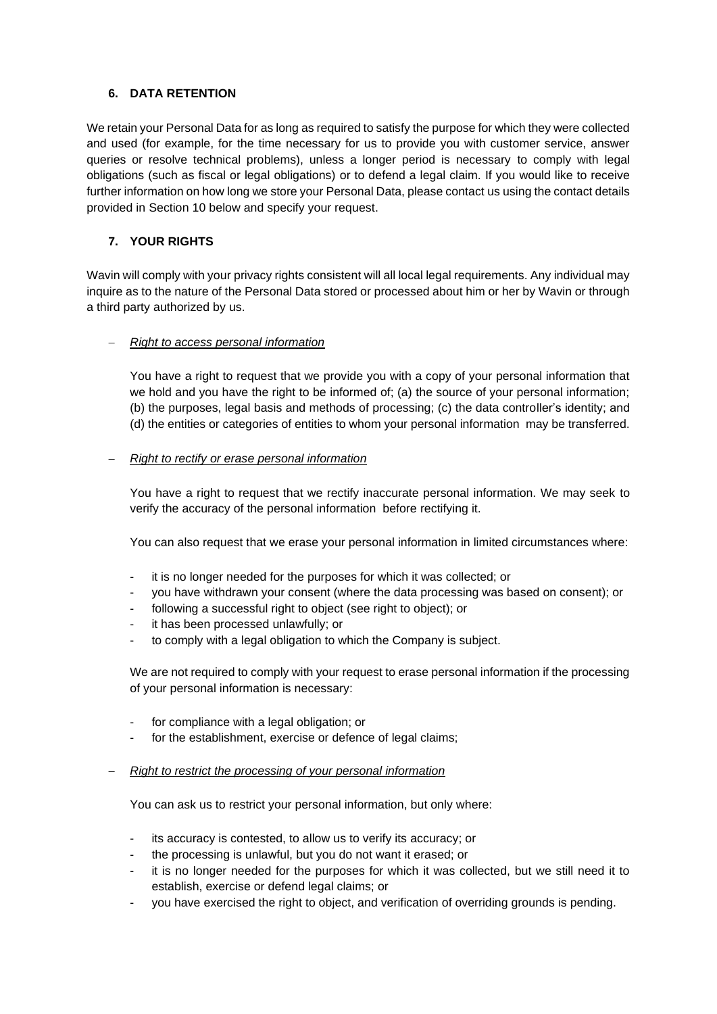# **6. DATA RETENTION**

We retain your Personal Data for as long as required to satisfy the purpose for which they were collected and used (for example, for the time necessary for us to provide you with customer service, answer queries or resolve technical problems), unless a longer period is necessary to comply with legal obligations (such as fiscal or legal obligations) or to defend a legal claim. If you would like to receive further information on how long we store your Personal Data, please contact us using the contact details provided in Section [10](#page-6-0) below and specify your request.

# <span id="page-4-0"></span>**7. YOUR RIGHTS**

Wavin will comply with your privacy rights consistent will all local legal requirements. Any individual may inquire as to the nature of the Personal Data stored or processed about him or her by Wavin or through a third party authorized by us.

### − *Right to access personal information*

You have a right to request that we provide you with a copy of your personal information that we hold and you have the right to be informed of; (a) the source of your personal information; (b) the purposes, legal basis and methods of processing; (c) the data controller's identity; and (d) the entities or categories of entities to whom your personal information may be transferred.

### − *Right to rectify or erase personal information*

You have a right to request that we rectify inaccurate personal information. We may seek to verify the accuracy of the personal information before rectifying it.

You can also request that we erase your personal information in limited circumstances where:

- it is no longer needed for the purposes for which it was collected; or
- you have withdrawn your consent (where the data processing was based on consent); or
- following a successful right to object (see right to object); or
- it has been processed unlawfully; or
- to comply with a legal obligation to which the Company is subject.

We are not required to comply with your request to erase personal information if the processing of your personal information is necessary:

- for compliance with a legal obligation; or
- for the establishment, exercise or defence of legal claims;

### − *Right to restrict the processing of your personal information*

You can ask us to restrict your personal information, but only where:

- its accuracy is contested, to allow us to verify its accuracy; or
- the processing is unlawful, but you do not want it erased; or
- it is no longer needed for the purposes for which it was collected, but we still need it to establish, exercise or defend legal claims; or
- you have exercised the right to object, and verification of overriding grounds is pending.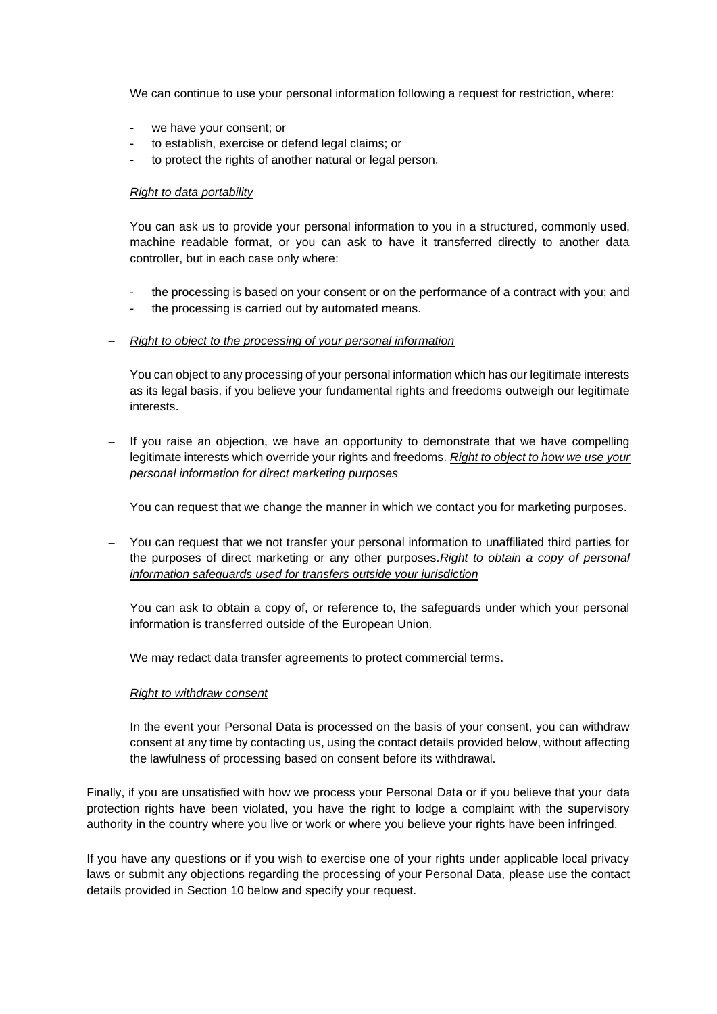We can continue to use your personal information following a request for restriction, where:

- we have your consent; or
- to establish, exercise or defend legal claims; or
- to protect the rights of another natural or legal person.

### − *Right to data portability*

You can ask us to provide your personal information to you in a structured, commonly used, machine readable format, or you can ask to have it transferred directly to another data controller, but in each case only where:

- the processing is based on your consent or on the performance of a contract with you; and
- the processing is carried out by automated means.

### − *Right to object to the processing of your personal information*

You can object to any processing of your personal information which has our legitimate interests as its legal basis, if you believe your fundamental rights and freedoms outweigh our legitimate interests.

− If you raise an objection, we have an opportunity to demonstrate that we have compelling legitimate interests which override your rights and freedoms. *Right to object to how we use your personal information for direct marketing purposes*

You can request that we change the manner in which we contact you for marketing purposes.

You can request that we not transfer your personal information to unaffiliated third parties for the purposes of direct marketing or any other purposes.*Right to obtain a copy of personal information safeguards used for transfers outside your jurisdiction*

You can ask to obtain a copy of, or reference to, the safeguards under which your personal information is transferred outside of the European Union.

We may redact data transfer agreements to protect commercial terms.

#### − *Right to withdraw consent*

In the event your Personal Data is processed on the basis of your consent, you can withdraw consent at any time by contacting us, using the contact details provided below, without affecting the lawfulness of processing based on consent before its withdrawal.

Finally, if you are unsatisfied with how we process your Personal Data or if you believe that your data protection rights have been violated, you have the right to lodge a complaint with the supervisory authority in the country where you live or work or where you believe your rights have been infringed.

If you have any questions or if you wish to exercise one of your rights under applicable local privacy laws or submit any objections regarding the processing of your Personal Data, please use the contact details provided in Section [10](#page-6-0) below and specify your request.